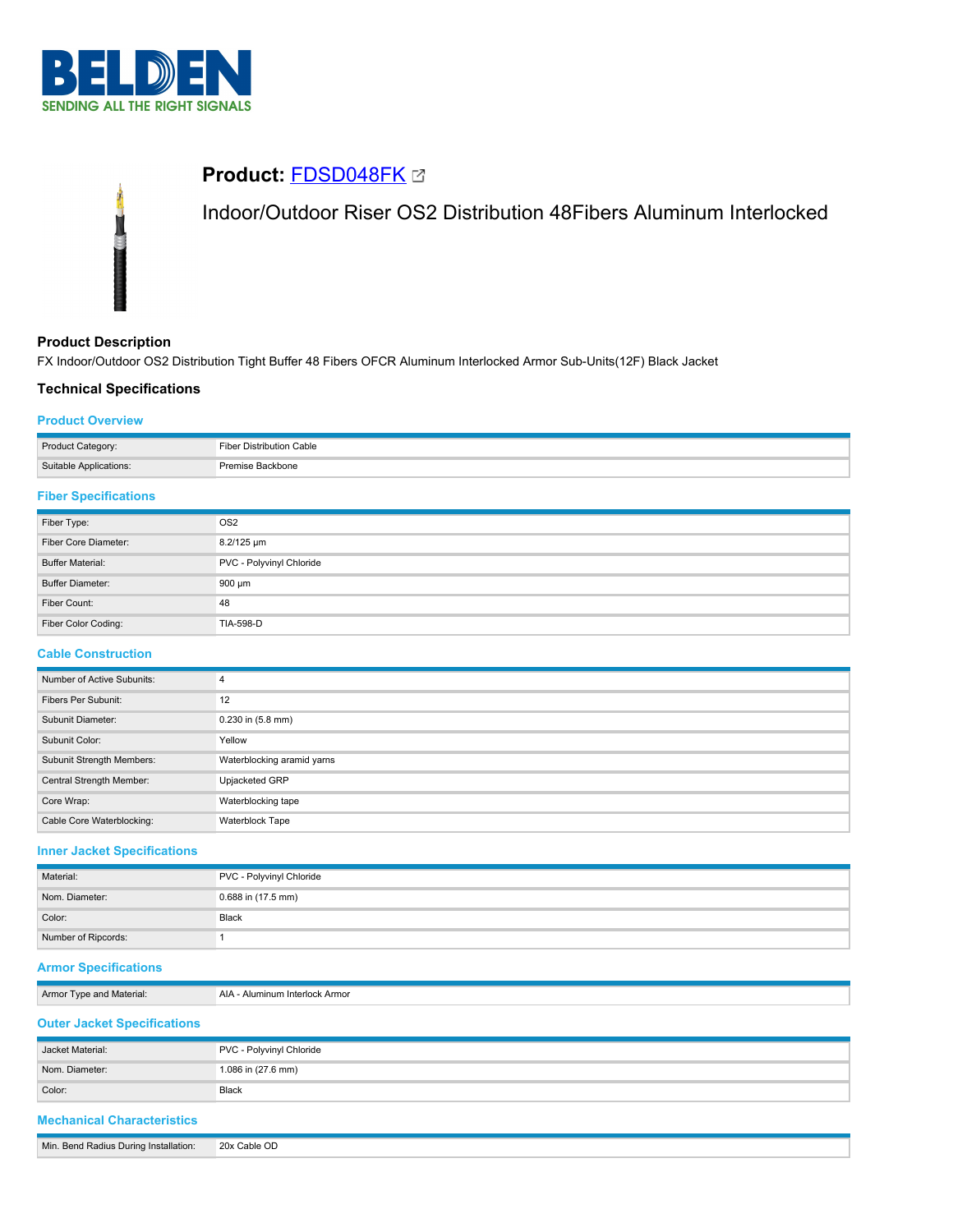



# **Product Description**

FX Indoor/Outdoor OS2 Distribution Tight Buffer 48 Fibers OFCR Aluminum Interlocked Armor Sub-Units(12F) Black Jacket

# **Technical Specifications**

## **Product Overview**

| Product Category:      | Fiber Distribution Cable |
|------------------------|--------------------------|
| Suitable Applications: | Premise Backbone         |

# **Fiber Specifications**

| Fiber Type:             | OS <sub>2</sub>          |
|-------------------------|--------------------------|
| Fiber Core Diameter:    | 8.2/125 um               |
| <b>Buffer Material:</b> | PVC - Polyvinyl Chloride |
| Buffer Diameter:        | 900 µm                   |
| Fiber Count:            | 48                       |
| Fiber Color Coding:     | TIA-598-D                |

## **Cable Construction**

| Number of Active Subunits: | 4                          |
|----------------------------|----------------------------|
| Fibers Per Subunit:        | 12                         |
| Subunit Diameter:          | $0.230$ in $(5.8$ mm)      |
| Subunit Color:             | Yellow                     |
| Subunit Strength Members:  | Waterblocking aramid yarns |
| Central Strength Member:   | Upjacketed GRP             |
| Core Wrap:                 | Waterblocking tape         |
| Cable Core Waterblocking:  | Waterblock Tape            |

### **Inner Jacket Specifications**

| Material:           | PVC - Polyvinyl Chloride |
|---------------------|--------------------------|
| Nom. Diameter:      | 0.688 in (17.5 mm)       |
| Color:              | Black                    |
| Number of Ripcords: |                          |

# **Armor Specifications**

| Armor<br>Material:<br>and<br>vne | AIA<br>- Alumınum Interlock Armor |
|----------------------------------|-----------------------------------|
|                                  |                                   |

# **Outer Jacket Specifications**

| Jacket Material: | PVC - Polyvinyl Chloride |
|------------------|--------------------------|
| Nom. Diameter:   | 1.086 in (27.6 mm)       |
| Color:           | <b>Black</b>             |

# **Mechanical Characteristics**

|--|--|